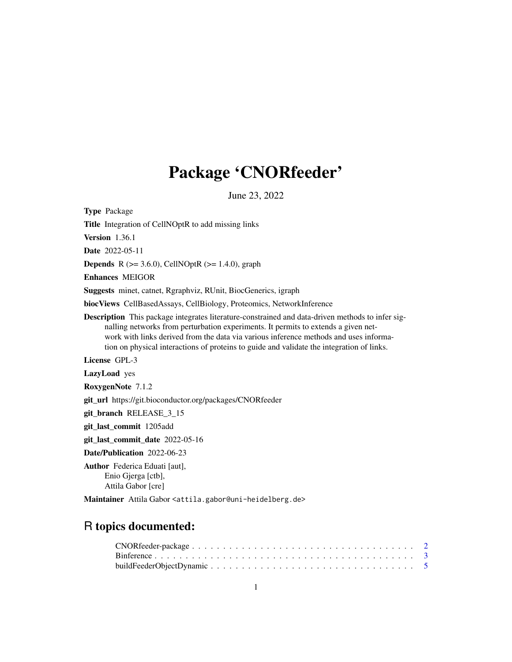# Package 'CNORfeeder'

June 23, 2022

<span id="page-0-0"></span>Type Package Title Integration of CellNOptR to add missing links Version 1.36.1 Date 2022-05-11 **Depends** R ( $>= 3.6.0$ ), CellNOptR ( $>= 1.4.0$ ), graph Enhances MEIGOR Suggests minet, catnet, Rgraphviz, RUnit, BiocGenerics, igraph biocViews CellBasedAssays, CellBiology, Proteomics, NetworkInference Description This package integrates literature-constrained and data-driven methods to infer signalling networks from perturbation experiments. It permits to extends a given network with links derived from the data via various inference methods and uses information on physical interactions of proteins to guide and validate the integration of links. License GPL-3 LazyLoad yes RoxygenNote 7.1.2 git\_url https://git.bioconductor.org/packages/CNORfeeder git\_branch RELEASE\_3\_15 git\_last\_commit 1205add git\_last\_commit\_date 2022-05-16 Date/Publication 2022-06-23 Author Federica Eduati [aut], Enio Gjerga [ctb], Attila Gabor [cre]

Maintainer Attila Gabor <attila.gabor@uni-heidelberg.de>

# R topics documented: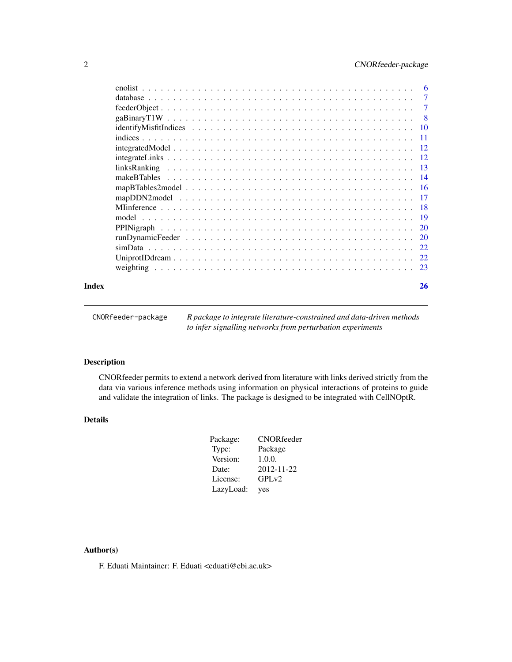<span id="page-1-0"></span>

| Index | 26                        |
|-------|---------------------------|
|       |                           |
|       |                           |
|       |                           |
|       | 20                        |
|       |                           |
|       |                           |
|       |                           |
|       |                           |
|       |                           |
|       |                           |
|       |                           |
|       |                           |
|       |                           |
|       |                           |
|       |                           |
|       | $\overline{\phantom{0}8}$ |
|       | $\overline{7}$            |
|       | $\overline{7}$            |
|       | -6                        |

| CNORfeeder-package | R package to integrate literature-constrained and data-driven methods |
|--------------------|-----------------------------------------------------------------------|
|                    | to infer signalling networks from perturbation experiments            |

CNORfeeder permits to extend a network derived from literature with links derived strictly from the data via various inference methods using information on physical interactions of proteins to guide and validate the integration of links. The package is designed to be integrated with CellNOptR.

# Details

| Package:  | CNORfeeder |
|-----------|------------|
| Type:     | Package    |
| Version:  | 1.0.0.     |
| Date:     | 2012-11-22 |
| License:  | GPLv2      |
| LazyLoad: | yes        |

# Author(s)

F. Eduati Maintainer: F. Eduati <eduati@ebi.ac.uk>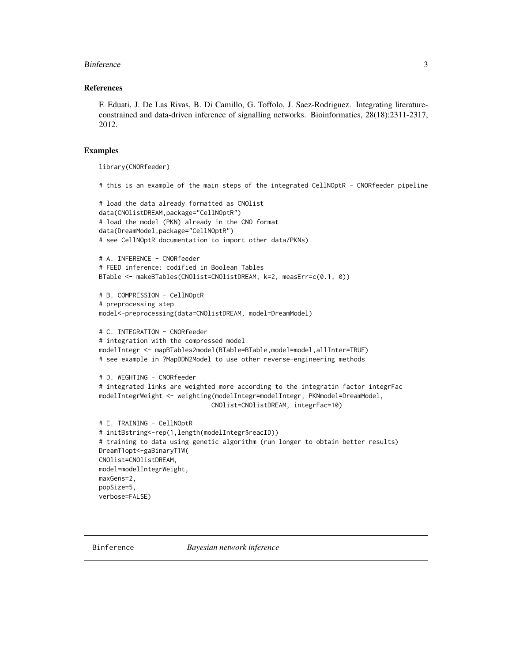#### <span id="page-2-0"></span>Binference 3

#### References

F. Eduati, J. De Las Rivas, B. Di Camillo, G. Toffolo, J. Saez-Rodriguez. Integrating literatureconstrained and data-driven inference of signalling networks. Bioinformatics, 28(18):2311-2317, 2012.

### Examples

```
library(CNORfeeder)
```
# this is an example of the main steps of the integrated CellNOptR - CNORfeeder pipeline

```
# load the data already formatted as CNOlist
data(CNOlistDREAM,package="CellNOptR")
# load the model (PKN) already in the CNO format
data(DreamModel,package="CellNOptR")
# see CellNOptR documentation to import other data/PKNs)
# A. INFERENCE - CNORfeeder
# FEED inference: codified in Boolean Tables
BTable <- makeBTables(CNOlist=CNOlistDREAM, k=2, measErr=c(0.1, 0))
```

```
# B. COMPRESSION - CellNOptR
# preprocessing step
model<-preprocessing(data=CNOlistDREAM, model=DreamModel)
```

```
# C. INTEGRATION - CNORfeeder
# integration with the compressed model
modelIntegr <- mapBTables2model(BTable=BTable,model=model,allInter=TRUE)
# see example in ?MapDDN2Model to use other reverse-engineering methods
```

```
# D. WEGHTING - CNORfeeder
# integrated links are weighted more according to the integratin factor integrFac
modelIntegrWeight <- weighting(modelIntegr=modelIntegr, PKNmodel=DreamModel,
                              CNOlist=CNOlistDREAM, integrFac=10)
```

```
# E. TRAINING - CellNOptR
# initBstring<-rep(1,length(modelIntegr$reacID))
# training to data using genetic algorithm (run longer to obtain better results)
DreamT1opt<-gaBinaryT1W(
CNOlist=CNOlistDREAM,
model=modelIntegrWeight,
maxGens=2,
popSize=5,
verbose=FALSE)
```
<span id="page-2-1"></span>Binference *Bayesian network inference*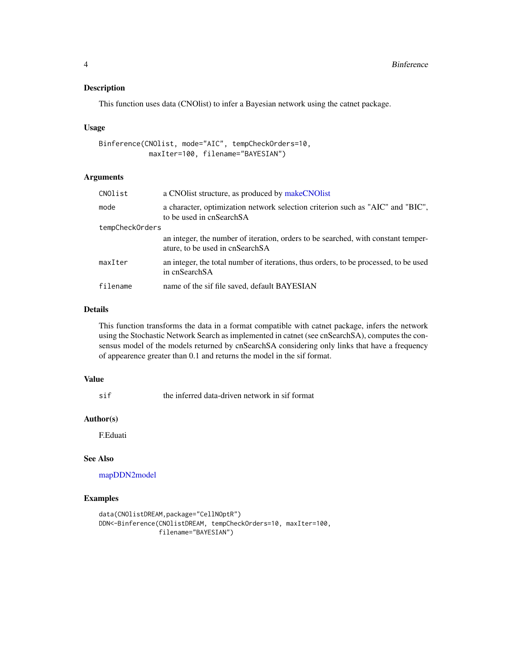<span id="page-3-0"></span>This function uses data (CNOlist) to infer a Bayesian network using the catnet package.

#### Usage

```
Binference(CNOlist, mode="AIC", tempCheckOrders=10,
            maxIter=100, filename="BAYESIAN")
```
# Arguments

| CNOlist         | a CNO list structure, as produced by make CNO list                                                                   |
|-----------------|----------------------------------------------------------------------------------------------------------------------|
| mode            | a character, optimization network selection criterion such as "AIC" and "BIC",<br>to be used in cnSearchSA           |
| tempCheckOrders |                                                                                                                      |
|                 | an integer, the number of iteration, orders to be searched, with constant temper-<br>ature, to be used in cnSearchSA |
| maxIter         | an integer, the total number of iterations, thus orders, to be processed, to be used<br>in cnSearchSA                |
| filename        | name of the sif file saved, default BAYESIAN                                                                         |

# Details

This function transforms the data in a format compatible with catnet package, infers the network using the Stochastic Network Search as implemented in catnet (see cnSearchSA), computes the consensus model of the models returned by cnSearchSA considering only links that have a frequency of appearence greater than 0.1 and returns the model in the sif format.

# Value

sif the inferred data-driven network in sif format

# Author(s)

F.Eduati

#### See Also

[mapDDN2model](#page-16-1)

#### Examples

```
data(CNOlistDREAM,package="CellNOptR")
DDN<-Binference(CNOlistDREAM, tempCheckOrders=10, maxIter=100,
                filename="BAYESIAN")
```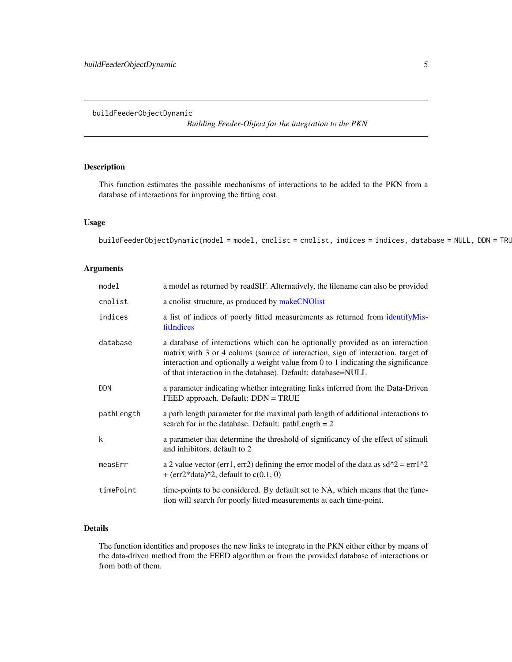*Building Feeder-Object for the integration to the PKN*

# <span id="page-4-1"></span><span id="page-4-0"></span>Description

This function estimates the possible mechanisms of interactions to be added to the PKN from a database of interactions for improving the fitting cost.

#### Usage

buildFeederObjectDynamic(model = model, cnolist = cnolist, indices = indices, database = NULL, DDN = TRU

# Arguments

| model      | a model as returned by readSIF. Alternatively, the filename can also be provided                                                                                                                                                                                                                                         |
|------------|--------------------------------------------------------------------------------------------------------------------------------------------------------------------------------------------------------------------------------------------------------------------------------------------------------------------------|
| cnolist    | a cnolist structure, as produced by makeCNOlist                                                                                                                                                                                                                                                                          |
| indices    | a list of indices of poorly fitted measurements as returned from identifyMis-<br>fitIndices                                                                                                                                                                                                                              |
| database   | a database of interactions which can be optionally provided as an interaction<br>matrix with 3 or 4 colums (source of interaction, sign of interaction, target of<br>interaction and optionally a weight value from $0$ to 1 indicating the significance<br>of that interaction in the database). Default: database=NULL |
| <b>DDN</b> | a parameter indicating whether integrating links inferred from the Data-Driven<br>FEED approach. Default: DDN = TRUE                                                                                                                                                                                                     |
| pathLength | a path length parameter for the maximal path length of additional interactions to<br>search for in the database. Default: $pathLength = 2$                                                                                                                                                                               |
| k          | a parameter that determine the threshold of significancy of the effect of stimuli<br>and inhibitors, default to 2                                                                                                                                                                                                        |
| measErr    | a 2 value vector (err1, err2) defining the error model of the data as $sd^2 = \text{err1}^2$<br>+ (err2*data)^2, default to $c(0.1, 0)$                                                                                                                                                                                  |
| timePoint  | time-points to be considered. By default set to NA, which means that the func-<br>tion will search for poorly fitted measurements at each time-point.                                                                                                                                                                    |

# Details

The function identifies and proposes the new links to integrate in the PKN either either by means of the data-driven method from the FEED algorithm or from the provided database of interactions or from both of them.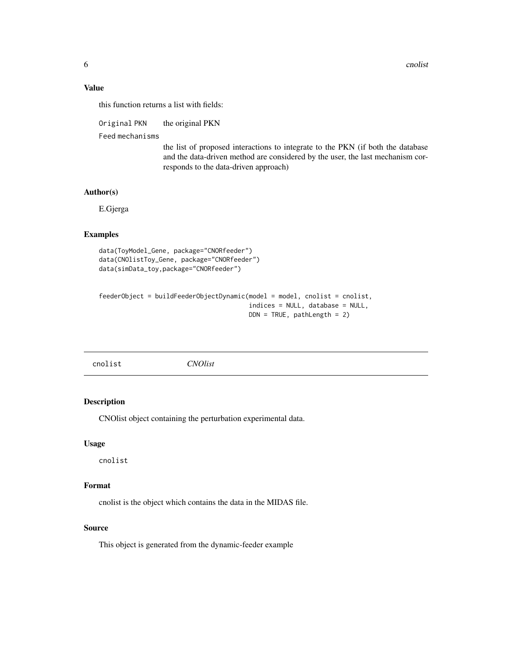# <span id="page-5-0"></span>Value

this function returns a list with fields:

Original PKN the original PKN

Feed mechanisms

the list of proposed interactions to integrate to the PKN (if both the database and the data-driven method are considered by the user, the last mechanism corresponds to the data-driven approach)

# Author(s)

E.Gjerga

# Examples

```
data(ToyModel_Gene, package="CNORfeeder")
data(CNOlistToy_Gene, package="CNORfeeder")
data(simData_toy,package="CNORfeeder")
```

```
feederObject = buildFeederObjectDynamic(model = model, cnolist = cnolist,
                                        indices = NULL, database = NULL,
                                        DDN = TRUE, pathLength = 2)
```

| cnolist<br><b>CNOlist</b> |
|---------------------------|
|---------------------------|

# Description

CNOlist object containing the perturbation experimental data.

#### Usage

cnolist

# Format

cnolist is the object which contains the data in the MIDAS file.

#### Source

This object is generated from the dynamic-feeder example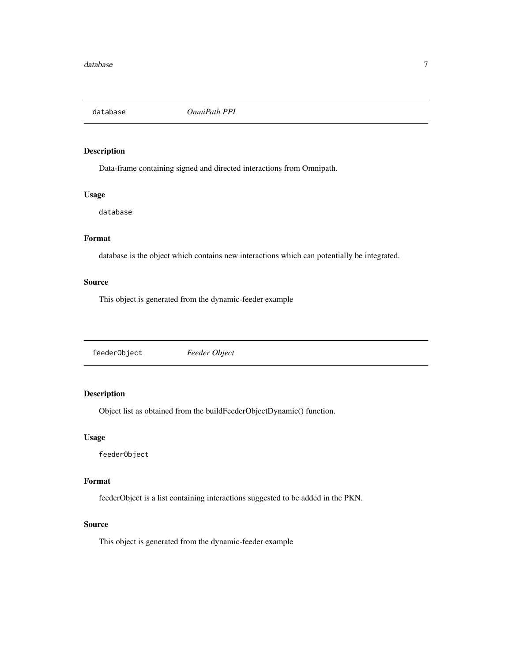<span id="page-6-0"></span>

Data-frame containing signed and directed interactions from Omnipath.

# Usage

database

# Format

database is the object which contains new interactions which can potentially be integrated.

# Source

This object is generated from the dynamic-feeder example

feederObject *Feeder Object*

# Description

Object list as obtained from the buildFeederObjectDynamic() function.

# Usage

feederObject

# Format

feederObject is a list containing interactions suggested to be added in the PKN.

# Source

This object is generated from the dynamic-feeder example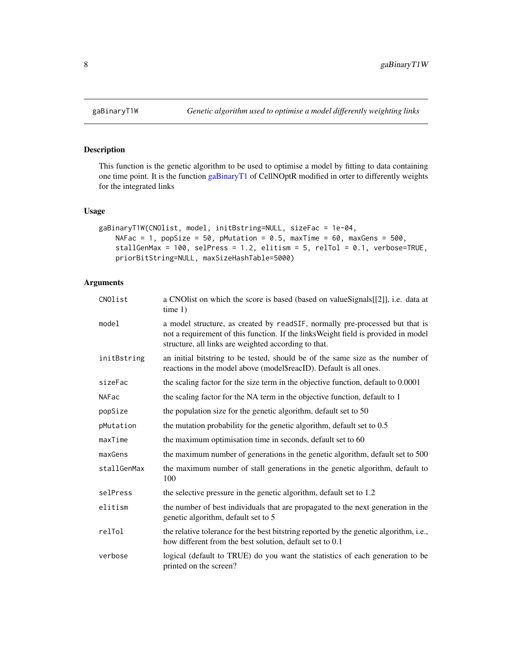This function is the genetic algorithm to be used to optimise a model by fitting to data containing one time point. It is the function [gaBinaryT1](#page-0-0) of CellNOptR modified in orter to differently weights for the integrated links

# Usage

```
gaBinaryT1W(CNOlist, model, initBstring=NULL, sizeFac = 1e-04,
    NAFac = 1, popSize = 50, pMutation = 0.5, maxTime = 60, maxGens = 500,
    stallGenMax = 100, selPress = 1.2, elitism = 5, relTol = 0.1, verbose=TRUE,
    priorBitString=NULL, maxSizeHashTable=5000)
```
# Arguments

| CNOlist     | a CNOIist on which the score is based (based on valueSignals[[2]], i.e. data at<br>time 1)                                                                                                                                 |
|-------------|----------------------------------------------------------------------------------------------------------------------------------------------------------------------------------------------------------------------------|
| model       | a model structure, as created by readSIF, normally pre-processed but that is<br>not a requirement of this function. If the links Weight field is provided in model<br>structure, all links are weighted according to that. |
| initBstring | an initial bitstring to be tested, should be of the same size as the number of<br>reactions in the model above (model\$reacID). Default is all ones.                                                                       |
| sizeFac     | the scaling factor for the size term in the objective function, default to 0.0001                                                                                                                                          |
| NAFac       | the scaling factor for the NA term in the objective function, default to 1                                                                                                                                                 |
| popSize     | the population size for the genetic algorithm, default set to 50                                                                                                                                                           |
| pMutation   | the mutation probability for the genetic algorithm, default set to $0.5$                                                                                                                                                   |
| maxTime     | the maximum optimisation time in seconds, default set to 60                                                                                                                                                                |
| maxGens     | the maximum number of generations in the genetic algorithm, default set to 500                                                                                                                                             |
| stallGenMax | the maximum number of stall generations in the genetic algorithm, default to<br>100                                                                                                                                        |
| selPress    | the selective pressure in the genetic algorithm, default set to 1.2                                                                                                                                                        |
| elitism     | the number of best individuals that are propagated to the next generation in the<br>genetic algorithm, default set to 5                                                                                                    |
| relTol      | the relative tolerance for the best bitstring reported by the genetic algorithm, i.e.,<br>how different from the best solution, default set to 0.1                                                                         |
| verbose     | logical (default to TRUE) do you want the statistics of each generation to be<br>printed on the screen?                                                                                                                    |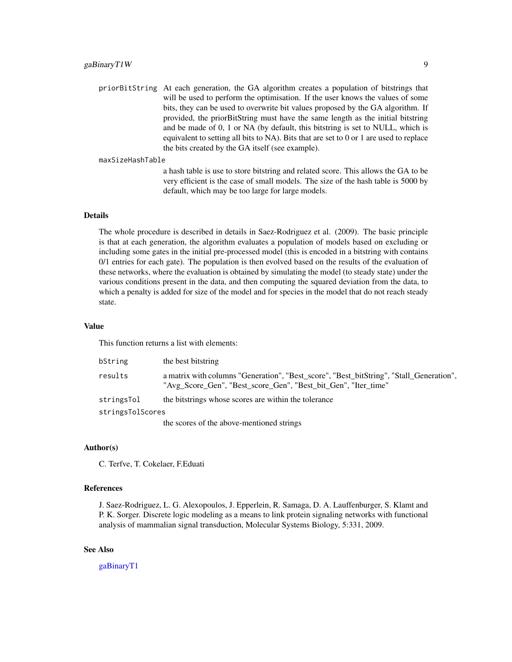<span id="page-8-0"></span>priorBitString At each generation, the GA algorithm creates a population of bitstrings that will be used to perform the optimisation. If the user knows the values of some bits, they can be used to overwrite bit values proposed by the GA algorithm. If provided, the priorBitString must have the same length as the initial bitstring and be made of 0, 1 or NA (by default, this bitstring is set to NULL, which is equivalent to setting all bits to NA). Bits that are set to 0 or 1 are used to replace the bits created by the GA itself (see example).

maxSizeHashTable

a hash table is use to store bitstring and related score. This allows the GA to be very efficient is the case of small models. The size of the hash table is 5000 by default, which may be too large for large models.

#### Details

The whole procedure is described in details in Saez-Rodriguez et al. (2009). The basic principle is that at each generation, the algorithm evaluates a population of models based on excluding or including some gates in the initial pre-processed model (this is encoded in a bitstring with contains 0/1 entries for each gate). The population is then evolved based on the results of the evaluation of these networks, where the evaluation is obtained by simulating the model (to steady state) under the various conditions present in the data, and then computing the squared deviation from the data, to which a penalty is added for size of the model and for species in the model that do not reach steady state.

#### Value

This function returns a list with elements:

| bString          | the best bitstring                                                                                                                                        |
|------------------|-----------------------------------------------------------------------------------------------------------------------------------------------------------|
| results          | a matrix with columns "Generation", "Best_score", "Best_bitString", "Stall_Generation",<br>"Avg_Score_Gen", "Best_score_Gen", "Best_bit_Gen", "Iter_time" |
| stringsTol       | the bitstrings whose scores are within the tolerance                                                                                                      |
| stringsTolScores |                                                                                                                                                           |
|                  | the secure of the chose mentioned strings                                                                                                                 |

the scores of the above-mentioned strings

#### Author(s)

C. Terfve, T. Cokelaer, F.Eduati

# References

J. Saez-Rodriguez, L. G. Alexopoulos, J. Epperlein, R. Samaga, D. A. Lauffenburger, S. Klamt and P. K. Sorger. Discrete logic modeling as a means to link protein signaling networks with functional analysis of mammalian signal transduction, Molecular Systems Biology, 5:331, 2009.

# See Also

[gaBinaryT1](#page-0-0)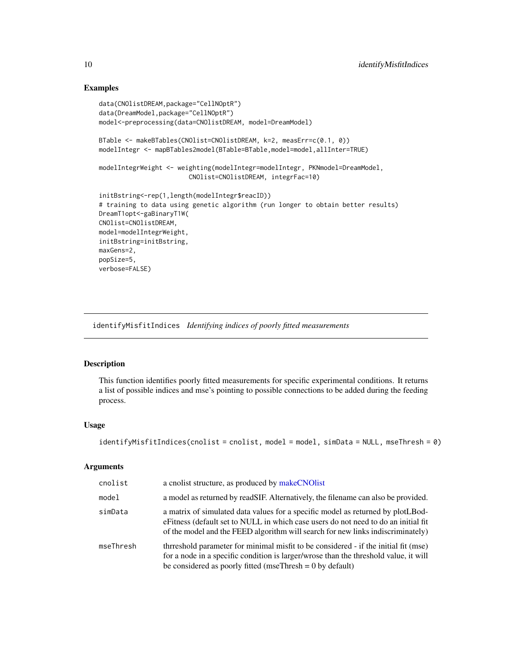# Examples

```
data(CNOlistDREAM,package="CellNOptR")
data(DreamModel,package="CellNOptR")
model<-preprocessing(data=CNOlistDREAM, model=DreamModel)
BTable <- makeBTables(CNOlist=CNOlistDREAM, k=2, measErr=c(0.1, 0))
modelIntegr <- mapBTables2model(BTable=BTable,model=model,allInter=TRUE)
modelIntegrWeight <- weighting(modelIntegr=modelIntegr, PKNmodel=DreamModel,
                        CNOlist=CNOlistDREAM, integrFac=10)
initBstring<-rep(1,length(modelIntegr$reacID))
# training to data using genetic algorithm (run longer to obtain better results)
DreamT1opt<-gaBinaryT1W(
CNOlist=CNOlistDREAM,
model=modelIntegrWeight,
initBstring=initBstring,
maxGens=2,
popSize=5,
verbose=FALSE)
```
<span id="page-9-1"></span>identifyMisfitIndices *Identifying indices of poorly fitted measurements*

#### Description

This function identifies poorly fitted measurements for specific experimental conditions. It returns a list of possible indices and mse's pointing to possible connections to be added during the feeding process.

# Usage

```
identifyMisfitIndices(cnolist = cnolist, model = model, simData = NULL, mseThresh = 0)
```
#### Arguments

| cnolist   | a cnolist structure, as produced by makeCNOlist                                                                                                                                                                                                          |
|-----------|----------------------------------------------------------------------------------------------------------------------------------------------------------------------------------------------------------------------------------------------------------|
| model     | a model as returned by readSIF. Alternatively, the filename can also be provided.                                                                                                                                                                        |
| simData   | a matrix of simulated data values for a specific model as returned by plotLBod-<br>eFitness (default set to NULL in which case users do not need to do an initial fit<br>of the model and the FEED algorithm will search for new links indiscriminately) |
| mseThresh | thrreshold parameter for minimal misfit to be considered - if the initial fit (mse)<br>for a node in a specific condition is larger/wrose than the threshold value, it will<br>be considered as poorly fitted (mseThresh = $0$ by default)               |

<span id="page-9-0"></span>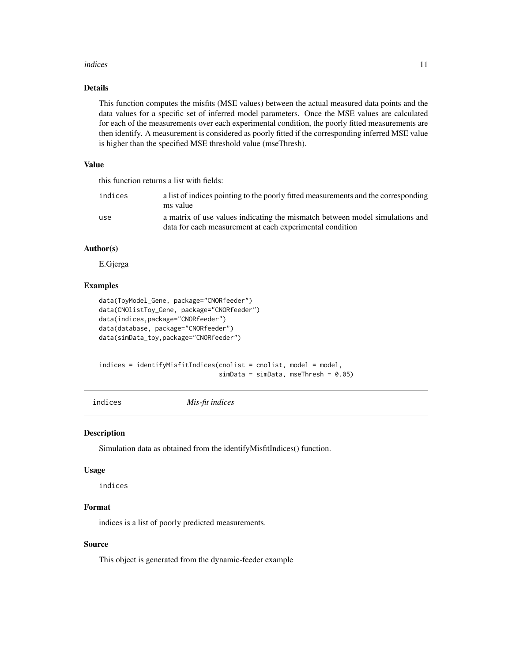#### <span id="page-10-0"></span>indices and the state of the state of the state of the state of the state of the state of the state of the state of the state of the state of the state of the state of the state of the state of the state of the state of th

# Details

This function computes the misfits (MSE values) between the actual measured data points and the data values for a specific set of inferred model parameters. Once the MSE values are calculated for each of the measurements over each experimental condition, the poorly fitted measurements are then identify. A measurement is considered as poorly fitted if the corresponding inferred MSE value is higher than the specified MSE threshold value (mseThresh).

# Value

this function returns a list with fields:

| indices | a list of indices pointing to the poorly fitted measurements and the corresponding<br>ms value                                           |
|---------|------------------------------------------------------------------------------------------------------------------------------------------|
| use     | a matrix of use values indicating the mismatch between model simulations and<br>data for each measurement at each experimental condition |

#### Author(s)

E.Gjerga

# Examples

```
data(ToyModel_Gene, package="CNORfeeder")
data(CNOlistToy_Gene, package="CNORfeeder")
data(indices,package="CNORfeeder")
data(database, package="CNORfeeder")
data(simData_toy,package="CNORfeeder")
```

```
indices = identifyMisfitIndices(cnolist = cnolist, model = model,
                                simData = simData, mesThresh = 0.05)
```

```
indices Mis-fit indices
```
# Description

Simulation data as obtained from the identifyMisfitIndices() function.

#### Usage

indices

#### Format

indices is a list of poorly predicted measurements.

#### Source

This object is generated from the dynamic-feeder example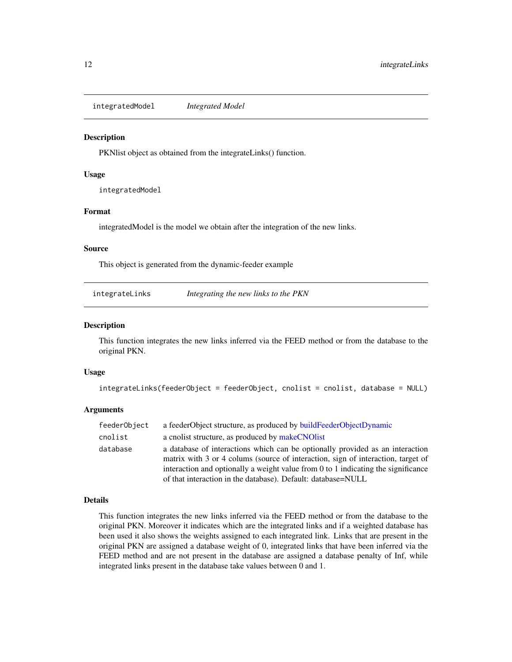<span id="page-11-0"></span>integratedModel *Integrated Model*

# **Description**

PKNlist object as obtained from the integrateLinks() function.

#### Usage

integratedModel

#### Format

integratedModel is the model we obtain after the integration of the new links.

#### Source

This object is generated from the dynamic-feeder example

integrateLinks *Integrating the new links to the PKN*

#### Description

This function integrates the new links inferred via the FEED method or from the database to the original PKN.

#### Usage

```
integrateLinks(feederObject = feederObject, cnolist = cnolist, database = NULL)
```
# Arguments

| feederObject | a feederObject structure, as produced by buildFeederObjectDynamic                 |
|--------------|-----------------------------------------------------------------------------------|
| cnolist      | a cnolist structure, as produced by makeCNOlist                                   |
| database     | a database of interactions which can be optionally provided as an interaction     |
|              | matrix with 3 or 4 colums (source of interaction, sign of interaction, target of  |
|              | interaction and optionally a weight value from 0 to 1 indicating the significance |
|              | of that interaction in the database). Default: database=NULL                      |

#### Details

This function integrates the new links inferred via the FEED method or from the database to the original PKN. Moreover it indicates which are the integrated links and if a weighted database has been used it also shows the weights assigned to each integrated link. Links that are present in the original PKN are assigned a database weight of 0, integrated links that have been inferred via the FEED method and are not present in the database are assigned a database penalty of Inf, while integrated links present in the database take values between 0 and 1.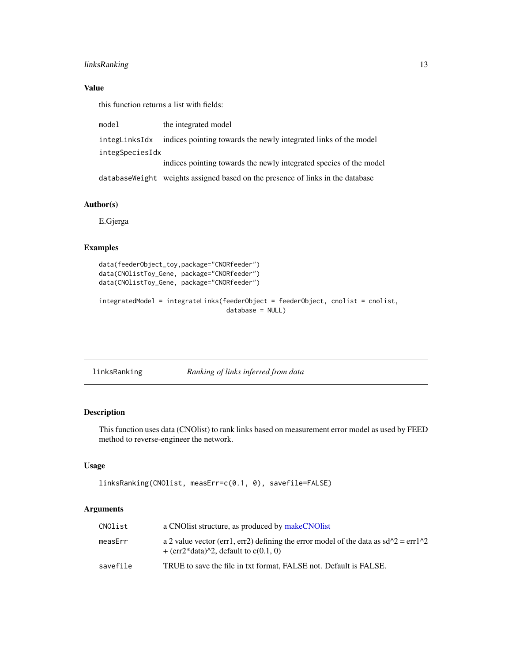# <span id="page-12-0"></span>linksRanking 13

# Value

this function returns a list with fields:

| model           | the integrated model                                                            |
|-----------------|---------------------------------------------------------------------------------|
| integLinksIdx   | indices pointing towards the newly integrated links of the model                |
| integSpeciesIdx |                                                                                 |
|                 | indices pointing towards the newly integrated species of the model              |
|                 | database Weight weights assigned based on the presence of links in the database |

# Author(s)

E.Gjerga

# Examples

```
data(feederObject_toy,package="CNORfeeder")
data(CNOlistToy_Gene, package="CNORfeeder")
data(CNOlistToy_Gene, package="CNORfeeder")
```

```
integratedModel = integrateLinks(feederObject = feederObject, cnolist = cnolist,
                                  database = NULL)
```
linksRanking *Ranking of links inferred from data*

# Description

This function uses data (CNOlist) to rank links based on measurement error model as used by FEED method to reverse-engineer the network.

# Usage

```
linksRanking(CNOlist, measErr=c(0.1, 0), savefile=FALSE)
```
# Arguments

| CNOlist  | a CNO list structure, as produced by make CNO list                                                                              |
|----------|---------------------------------------------------------------------------------------------------------------------------------|
| measErr  | a 2 value vector (err1, err2) defining the error model of the data as $sd^2 = erf^2$<br>$+$ (err2*data)^2, default to c(0.1, 0) |
| savefile | TRUE to save the file in txt format, FALSE not. Default is FALSE.                                                               |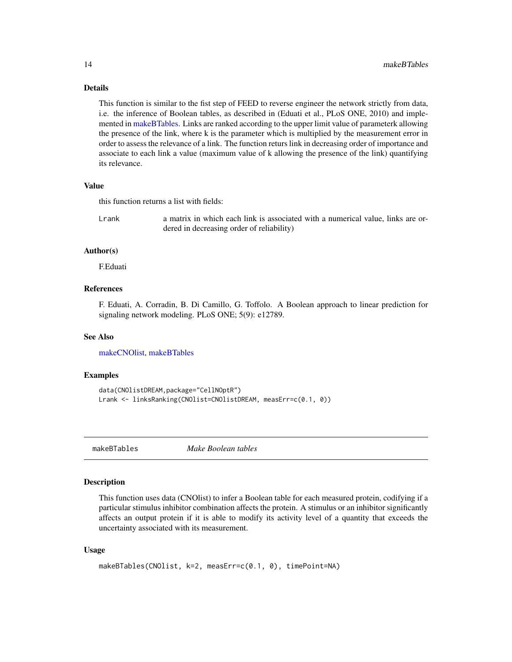#### Details

This function is similar to the fist step of FEED to reverse engineer the network strictly from data, i.e. the inference of Boolean tables, as described in (Eduati et al., PLoS ONE, 2010) and implemented in [makeBTables.](#page-13-1) Links are ranked according to the upper limit value of parameterk allowing the presence of the link, where k is the parameter which is multiplied by the measurement error in order to assess the relevance of a link. The function returs link in decreasing order of importance and associate to each link a value (maximum value of k allowing the presence of the link) quantifying its relevance.

# Value

this function returns a list with fields:

Lrank a matrix in which each link is associated with a numerical value, links are ordered in decreasing order of reliability)

#### Author(s)

F.Eduati

#### References

F. Eduati, A. Corradin, B. Di Camillo, G. Toffolo. A Boolean approach to linear prediction for signaling network modeling. PLoS ONE; 5(9): e12789.

#### See Also

[makeCNOlist,](#page-0-0) [makeBTables](#page-13-1)

#### Examples

```
data(CNOlistDREAM,package="CellNOptR")
Lrank <- linksRanking(CNOlist=CNOlistDREAM, measErr=c(0.1, 0))
```
<span id="page-13-1"></span>makeBTables *Make Boolean tables*

# Description

This function uses data (CNOlist) to infer a Boolean table for each measured protein, codifying if a particular stimulus inhibitor combination affects the protein. A stimulus or an inhibitor significantly affects an output protein if it is able to modify its activity level of a quantity that exceeds the uncertainty associated with its measurement.

#### Usage

```
makeBTables(CNOlist, k=2, measErr=c(0.1, 0), timePoint=NA)
```
<span id="page-13-0"></span>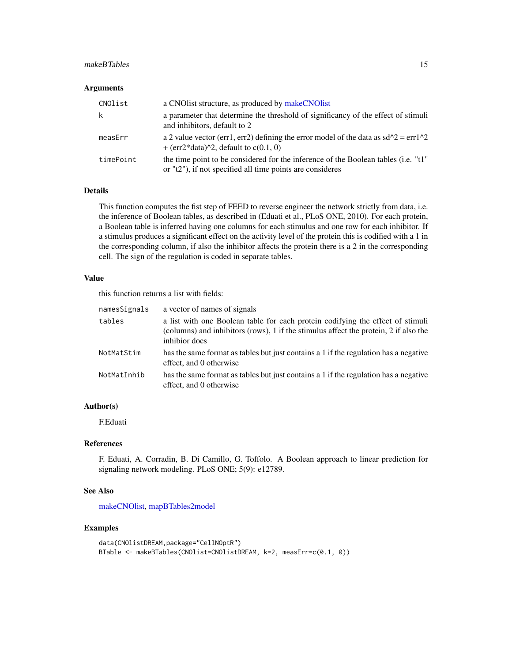#### <span id="page-14-0"></span>makeBTables 15

#### **Arguments**

| CNOlist   | a CNO list structure, as produced by make CNO list                                                                                              |
|-----------|-------------------------------------------------------------------------------------------------------------------------------------------------|
| k         | a parameter that determine the threshold of significancy of the effect of stimuli<br>and inhibitors, default to 2                               |
| measErr   | a 2 value vector (err1, err2) defining the error model of the data as $sd^2 = erf^2$<br>$+$ (err2*data)^2, default to c(0.1, 0)                 |
| timePoint | the time point to be considered for the inference of the Boolean tables (i.e. "t1"<br>or "t2"), if not specified all time points are consideres |

# Details

This function computes the fist step of FEED to reverse engineer the network strictly from data, i.e. the inference of Boolean tables, as described in (Eduati et al., PLoS ONE, 2010). For each protein, a Boolean table is inferred having one columns for each stimulus and one row for each inhibitor. If a stimulus produces a significant effect on the activity level of the protein this is codified with a 1 in the corresponding column, if also the inhibitor affects the protein there is a 2 in the corresponding cell. The sign of the regulation is coded in separate tables.

#### Value

this function returns a list with fields:

| namesSignals | a vector of names of signals                                                                                                                                                            |
|--------------|-----------------------------------------------------------------------------------------------------------------------------------------------------------------------------------------|
| tables       | a list with one Boolean table for each protein codifying the effect of stimuli<br>(columns) and inhibitors (rows), 1 if the stimulus affect the protein, 2 if also the<br>inhibior does |
| NotMatStim   | has the same format as tables but just contains a 1 if the regulation has a negative<br>effect, and 0 otherwise                                                                         |
| NotMatInhib  | has the same format as tables but just contains a 1 if the regulation has a negative<br>effect, and 0 otherwise                                                                         |

# Author(s)

F.Eduati

#### References

F. Eduati, A. Corradin, B. Di Camillo, G. Toffolo. A Boolean approach to linear prediction for signaling network modeling. PLoS ONE; 5(9): e12789.

#### See Also

[makeCNOlist,](#page-0-0) [mapBTables2model](#page-15-1)

#### Examples

```
data(CNOlistDREAM,package="CellNOptR")
BTable <- makeBTables(CNOlist=CNOlistDREAM, k=2, measErr=c(0.1, 0))
```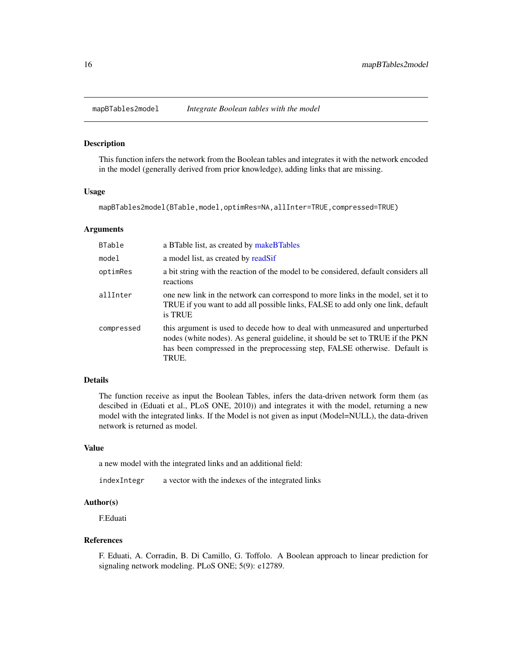<span id="page-15-1"></span><span id="page-15-0"></span>

This function infers the network from the Boolean tables and integrates it with the network encoded in the model (generally derived from prior knowledge), adding links that are missing.

#### Usage

mapBTables2model(BTable,model,optimRes=NA,allInter=TRUE,compressed=TRUE)

# Arguments

| <b>BTable</b> | a BTable list, as created by makeBTables                                                                                                                                                                                                             |
|---------------|------------------------------------------------------------------------------------------------------------------------------------------------------------------------------------------------------------------------------------------------------|
| model         | a model list, as created by readSif                                                                                                                                                                                                                  |
| optimRes      | a bit string with the reaction of the model to be considered, default considers all<br>reactions                                                                                                                                                     |
| allInter      | one new link in the network can correspond to more links in the model, set it to<br>TRUE if you want to add all possible links, FALSE to add only one link, default<br>is TRUE                                                                       |
| compressed    | this argument is used to decede how to deal with unmeasured and unperturbed<br>nodes (white nodes). As general guideline, it should be set to TRUE if the PKN<br>has been compressed in the preprocessing step, FALSE otherwise. Default is<br>TRUE. |

#### Details

The function receive as input the Boolean Tables, infers the data-driven network form them (as descibed in (Eduati et al., PLoS ONE, 2010)) and integrates it with the model, returning a new model with the integrated links. If the Model is not given as input (Model=NULL), the data-driven network is returned as model.

#### Value

a new model with the integrated links and an additional field:

indexIntegr a vector with the indexes of the integrated links

# Author(s)

F.Eduati

#### References

F. Eduati, A. Corradin, B. Di Camillo, G. Toffolo. A Boolean approach to linear prediction for signaling network modeling. PLoS ONE; 5(9): e12789.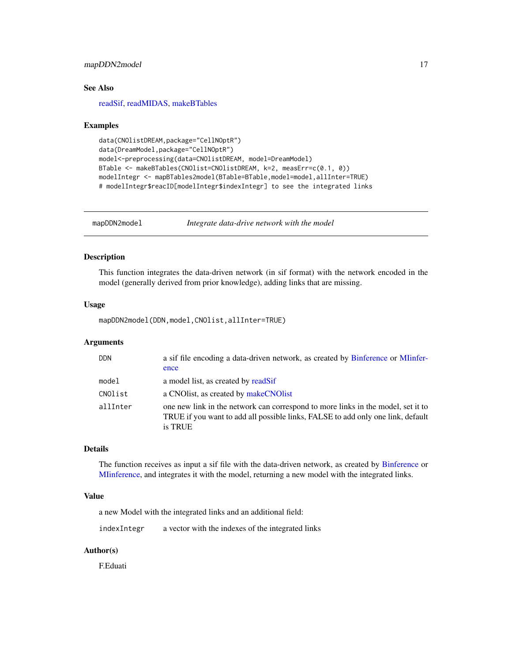# <span id="page-16-0"></span>mapDDN2model 17

# See Also

[readSif,](#page-0-0) [readMIDAS,](#page-0-0) [makeBTables](#page-13-1)

#### Examples

```
data(CNOlistDREAM,package="CellNOptR")
data(DreamModel,package="CellNOptR")
model<-preprocessing(data=CNOlistDREAM, model=DreamModel)
BTable <- makeBTables(CNOlist=CNOlistDREAM, k=2, measErr=c(0.1, 0))
modelIntegr <- mapBTables2model(BTable=BTable,model=model,allInter=TRUE)
# modelIntegr$reacID[modelIntegr$indexIntegr] to see the integrated links
```
<span id="page-16-1"></span>mapDDN2model *Integrate data-drive network with the model*

# Description

This function integrates the data-driven network (in sif format) with the network encoded in the model (generally derived from prior knowledge), adding links that are missing.

#### Usage

mapDDN2model(DDN,model,CNOlist,allInter=TRUE)

#### Arguments

| <b>DDN</b> | a sif file encoding a data-driven network, as created by Binference or MIinfer-<br>ence                                                                                        |
|------------|--------------------------------------------------------------------------------------------------------------------------------------------------------------------------------|
| model      | a model list, as created by readSif                                                                                                                                            |
| CNOlist    | a CNO list, as created by make CNO list                                                                                                                                        |
| allInter   | one new link in the network can correspond to more links in the model, set it to<br>TRUE if you want to add all possible links, FALSE to add only one link, default<br>is TRUE |

# Details

The function receives as input a sif file with the data-driven network, as created by [Binference](#page-2-1) or [MIinference,](#page-17-1) and integrates it with the model, returning a new model with the integrated links.

#### Value

a new Model with the integrated links and an additional field:

indexIntegr a vector with the indexes of the integrated links

#### Author(s)

F.Eduati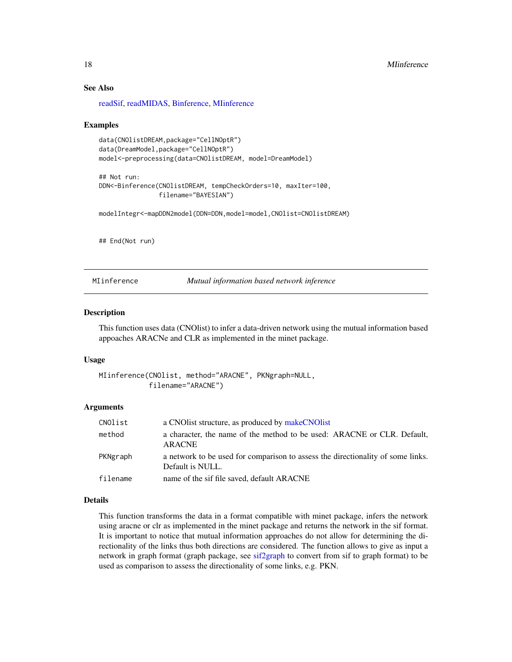# See Also

[readSif,](#page-0-0) [readMIDAS,](#page-0-0) [Binference,](#page-2-1) [MIinference](#page-17-1)

#### Examples

```
data(CNOlistDREAM,package="CellNOptR")
data(DreamModel,package="CellNOptR")
model<-preprocessing(data=CNOlistDREAM, model=DreamModel)
```

```
## Not run:
DDN<-Binference(CNOlistDREAM, tempCheckOrders=10, maxIter=100,
                filename="BAYESIAN")
```
modelIntegr<-mapDDN2model(DDN=DDN,model=model,CNOlist=CNOlistDREAM)

## End(Not run)

<span id="page-17-1"></span>MIinference *Mutual information based network inference*

#### Description

This function uses data (CNOlist) to infer a data-driven network using the mutual information based appoaches ARACNe and CLR as implemented in the minet package.

#### Usage

```
MIinference(CNOlist, method="ARACNE", PKNgraph=NULL,
            filename="ARACNE")
```
#### **Arguments**

| CNOlist  | a CNO list structure, as produced by make CNO list                                                  |
|----------|-----------------------------------------------------------------------------------------------------|
| method   | a character, the name of the method to be used: ARACNE or CLR. Default,<br><b>ARACNE</b>            |
| PKNgraph | a network to be used for comparison to assess the directionality of some links.<br>Default is NULL. |
| filename | name of the sif file saved, default ARACNE                                                          |

#### Details

This function transforms the data in a format compatible with minet package, infers the network using aracne or clr as implemented in the minet package and returns the network in the sif format. It is important to notice that mutual information approaches do not allow for determining the directionality of the links thus both directions are considered. The function allows to give as input a network in graph format (graph package, see [sif2graph](#page-0-0) to convert from sif to graph format) to be used as comparison to assess the directionality of some links, e.g. PKN.

<span id="page-17-0"></span>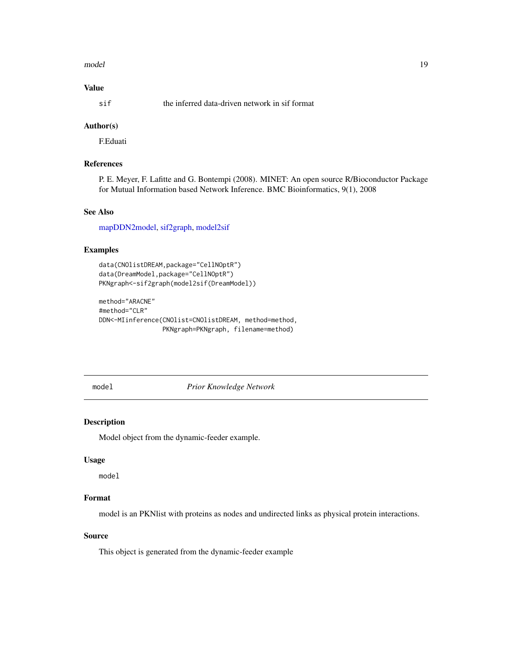#### <span id="page-18-0"></span>model and the contract of the contract of the contract of the contract of the contract of the contract of the contract of the contract of the contract of the contract of the contract of the contract of the contract of the

# Value

sif the inferred data-driven network in sif format

# Author(s)

F.Eduati

# References

P. E. Meyer, F. Lafitte and G. Bontempi (2008). MINET: An open source R/Bioconductor Package for Mutual Information based Network Inference. BMC Bioinformatics, 9(1), 2008

# See Also

[mapDDN2model,](#page-16-1) [sif2graph,](#page-0-0) [model2sif](#page-0-0)

# Examples

```
data(CNOlistDREAM,package="CellNOptR")
data(DreamModel,package="CellNOptR")
PKNgraph<-sif2graph(model2sif(DreamModel))
```

```
method="ARACNE"
#method="CLR"
DDN<-MIinference(CNOlist=CNOlistDREAM, method=method,
                 PKNgraph=PKNgraph, filename=method)
```
model *Prior Knowledge Network*

# Description

Model object from the dynamic-feeder example.

# Usage

model

# Format

model is an PKNlist with proteins as nodes and undirected links as physical protein interactions.

# Source

This object is generated from the dynamic-feeder example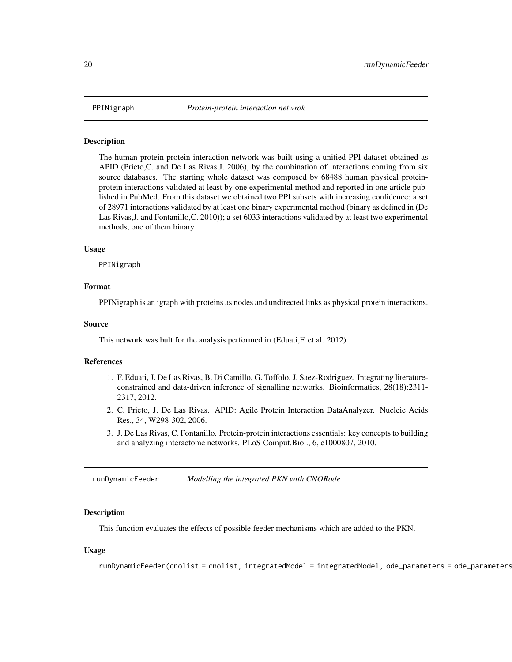<span id="page-19-0"></span>

The human protein-protein interaction network was built using a unified PPI dataset obtained as APID (Prieto,C. and De Las Rivas,J. 2006), by the combination of interactions coming from six source databases. The starting whole dataset was composed by 68488 human physical proteinprotein interactions validated at least by one experimental method and reported in one article published in PubMed. From this dataset we obtained two PPI subsets with increasing confidence: a set of 28971 interactions validated by at least one binary experimental method (binary as defined in (De Las Rivas,J. and Fontanillo,C. 2010)); a set 6033 interactions validated by at least two experimental methods, one of them binary.

#### Usage

PPINigraph

# Format

PPINigraph is an igraph with proteins as nodes and undirected links as physical protein interactions.

#### Source

This network was bult for the analysis performed in (Eduati,F. et al. 2012)

#### **References**

- 1. F. Eduati, J. De Las Rivas, B. Di Camillo, G. Toffolo, J. Saez-Rodriguez. Integrating literatureconstrained and data-driven inference of signalling networks. Bioinformatics, 28(18):2311- 2317, 2012.
- 2. C. Prieto, J. De Las Rivas. APID: Agile Protein Interaction DataAnalyzer. Nucleic Acids Res., 34, W298-302, 2006.
- 3. J. De Las Rivas, C. Fontanillo. Protein-protein interactions essentials: key concepts to building and analyzing interactome networks. PLoS Comput.Biol., 6, e1000807, 2010.

runDynamicFeeder *Modelling the integrated PKN with CNORode*

# Description

This function evaluates the effects of possible feeder mechanisms which are added to the PKN.

#### Usage

runDynamicFeeder(cnolist = cnolist, integratedModel = integratedModel, ode\_parameters = ode\_parameters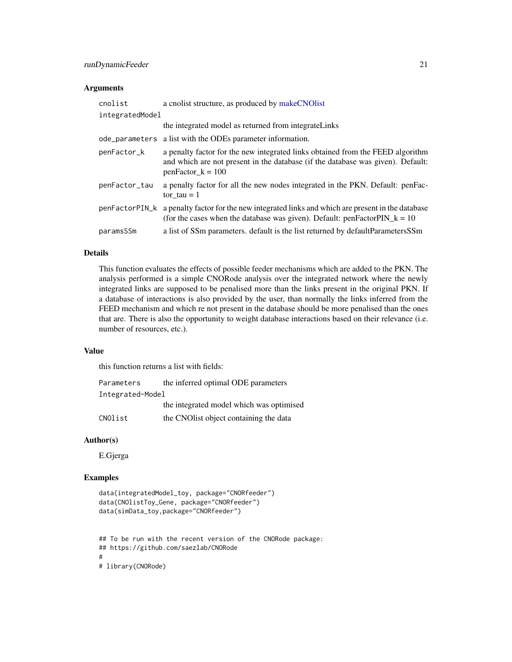# <span id="page-20-0"></span>runDynamicFeeder 21

# Arguments

| cnolist         | a cnolist structure, as produced by makeCNOlist                                                                                                                                          |
|-----------------|------------------------------------------------------------------------------------------------------------------------------------------------------------------------------------------|
| integratedModel |                                                                                                                                                                                          |
|                 | the integrated model as returned from integrateLinks                                                                                                                                     |
|                 | ode_parameters a list with the ODEs parameter information.                                                                                                                               |
| penFactor_k     | a penalty factor for the new integrated links obtained from the FEED algorithm<br>and which are not present in the database (if the database was given). Default:<br>$penFactor_k = 100$ |
| penFactor_tau   | a penalty factor for all the new nodes integrated in the PKN. Default: penFac-<br>tor $tau = 1$                                                                                          |
| penFactorPIN_k  | a penalty factor for the new integrated links and which are present in the database<br>(for the cases when the database was given). Default: penFactorPIN_k = $10$                       |
| paramsSSm       | a list of SSm parameters. default is the list returned by default Parameters SSm                                                                                                         |

# Details

This function evaluates the effects of possible feeder mechanisms which are added to the PKN. The analysis performed is a simple CNORode analysis over the integrated network where the newly integrated links are supposed to be penalised more than the links present in the original PKN. If a database of interactions is also provided by the user, than normally the links inferred from the FEED mechanism and which re not present in the database should be more penalised than the ones that are. There is also the opportunity to weight database interactions based on their relevance (i.e. number of resources, etc.).

# Value

this function returns a list with fields:

| Parameters       | the inferred optimal ODE parameters      |
|------------------|------------------------------------------|
| Integrated-Model |                                          |
|                  | the integrated model which was optimised |
| CNOlist          | the CNO list object containing the data  |

# Author(s)

E.Gjerga

# Examples

```
data(integratedModel_toy, package="CNORfeeder")
data(CNOlistToy_Gene, package="CNORfeeder")
data(simData_toy,package="CNORfeeder")
```

```
## To be run with the recent version of the CNORode package:
## https://github.com/saezlab/CNORode
#
# library(CNORode)
```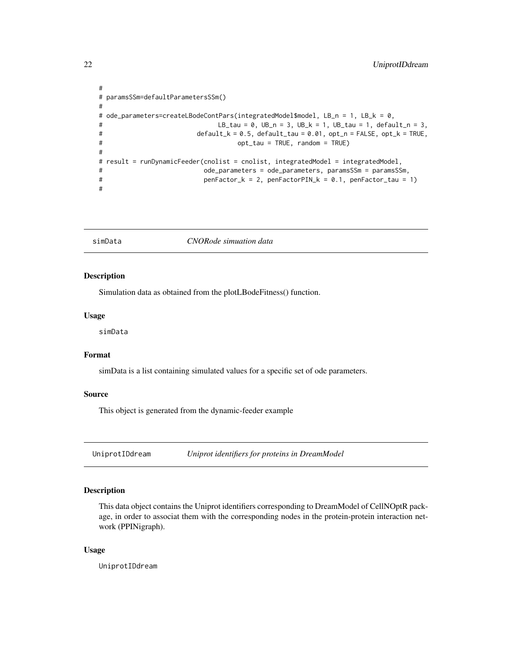```
#
# paramsSSm=defaultParametersSSm()
#
# ode_parameters=createLBodeContPars(integratedModel$model, LB_n = 1, LB_k = 0,
# LB\_tau = 0, UB_n = 3, UB_k = 1, UB\_tau = 1, default_n = 3,
# default_k = 0.5, default_tau = 0.01, opt_n = FALSE, opt_k = TRUE,
# opt_tau = TRUE, random = TRUE)
#
# result = runDynamicFeeder(cnolist = cnolist, integratedModel = integratedModel,
# ode_parameters = ode_parameters, paramsSSm = paramsSSm,
# penFactor_k = 2, penFactorPIN_k = 0.1, penFactor_tau = 1)
#
```
#### simData *CNORode simuation data*

# Description

Simulation data as obtained from the plotLBodeFitness() function.

#### Usage

simData

#### Format

simData is a list containing simulated values for a specific set of ode parameters.

# Source

This object is generated from the dynamic-feeder example

UniprotIDdream *Uniprot identifiers for proteins in DreamModel*

#### Description

This data object contains the Uniprot identifiers corresponding to DreamModel of CellNOptR package, in order to associat them with the corresponding nodes in the protein-protein interaction network (PPINigraph).

#### Usage

UniprotIDdream

<span id="page-21-0"></span>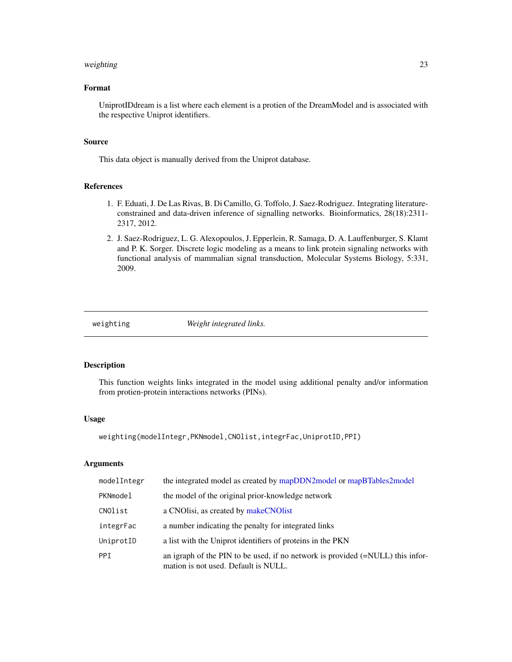#### <span id="page-22-0"></span>weighting 23

# Format

UniprotIDdream is a list where each element is a protien of the DreamModel and is associated with the respective Uniprot identifiers.

# Source

This data object is manually derived from the Uniprot database.

# References

- 1. F. Eduati, J. De Las Rivas, B. Di Camillo, G. Toffolo, J. Saez-Rodriguez. Integrating literatureconstrained and data-driven inference of signalling networks. Bioinformatics, 28(18):2311- 2317, 2012.
- 2. J. Saez-Rodriguez, L. G. Alexopoulos, J. Epperlein, R. Samaga, D. A. Lauffenburger, S. Klamt and P. K. Sorger. Discrete logic modeling as a means to link protein signaling networks with functional analysis of mammalian signal transduction, Molecular Systems Biology, 5:331, 2009.

weighting *Weight integrated links.*

# Description

This function weights links integrated in the model using additional penalty and/or information from protien-protein interactions networks (PINs).

#### Usage

```
weighting(modelIntegr,PKNmodel,CNOlist,integrFac,UniprotID,PPI)
```
# Arguments

| modelIntegr | the integrated model as created by mapDDN2 model or mapBTables2 model                                                           |
|-------------|---------------------------------------------------------------------------------------------------------------------------------|
| PKNmodel    | the model of the original prior-knowledge network                                                                               |
| CNOlist     | a CNO lisi, as created by make CNO list                                                                                         |
| integrFac   | a number indicating the penalty for integrated links                                                                            |
| UniprotID   | a list with the Uniprot identifiers of proteins in the PKN                                                                      |
| PPI.        | an igraph of the PIN to be used, if no network is provided $(=\text{NULL})$ this infor-<br>mation is not used. Default is NULL. |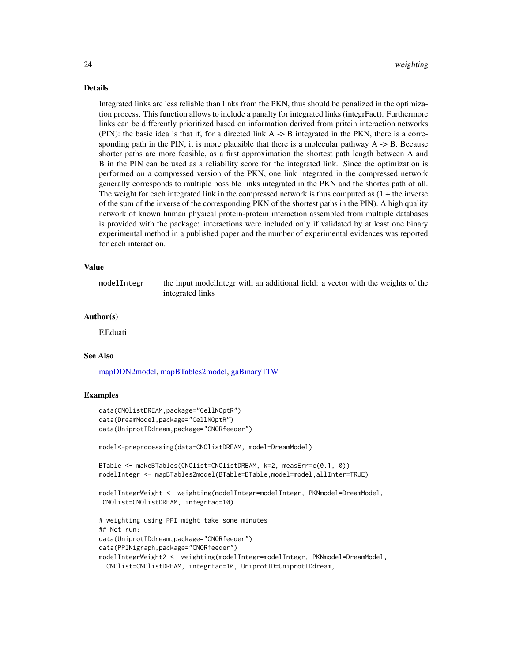#### Details

Integrated links are less reliable than links from the PKN, thus should be penalized in the optimization process. This function allows to include a panalty for integrated links (integrFact). Furthermore links can be differently prioritized based on information derived from pritein interaction networks (PIN): the basic idea is that if, for a directed link A -> B integrated in the PKN, there is a corresponding path in the PIN, it is more plausible that there is a molecular pathway A -> B. Because shorter paths are more feasible, as a first approximation the shortest path length between A and B in the PIN can be used as a reliability score for the integrated link. Since the optimization is performed on a compressed version of the PKN, one link integrated in the compressed network generally corresponds to multiple possible links integrated in the PKN and the shortes path of all. The weight for each integrated link in the compressed network is thus computed as  $(1 +$  the inverse of the sum of the inverse of the corresponding PKN of the shortest paths in the PIN). A high quality network of known human physical protein-protein interaction assembled from multiple databases is provided with the package: interactions were included only if validated by at least one binary experimental method in a published paper and the number of experimental evidences was reported for each interaction.

#### Value

modelIntegr the input modelIntegr with an additional field: a vector with the weights of the integrated links

# Author(s)

F.Eduati

# See Also

[mapDDN2model,](#page-16-1) [mapBTables2model,](#page-15-1) [gaBinaryT1W](#page-7-1)

# Examples

```
data(CNOlistDREAM,package="CellNOptR")
data(DreamModel,package="CellNOptR")
data(UniprotIDdream,package="CNORfeeder")
```
model<-preprocessing(data=CNOlistDREAM, model=DreamModel)

```
BTable <- makeBTables(CNOlist=CNOlistDREAM, k=2, measErr=c(0.1, 0))
modelIntegr <- mapBTables2model(BTable=BTable,model=model,allInter=TRUE)
```

```
modelIntegrWeight <- weighting(modelIntegr=modelIntegr, PKNmodel=DreamModel,
CNOlist=CNOlistDREAM, integrFac=10)
```

```
# weighting using PPI might take some minutes
## Not run:
data(UniprotIDdream,package="CNORfeeder")
data(PPINigraph,package="CNORfeeder")
modelIntegrWeight2 <- weighting(modelIntegr=modelIntegr, PKNmodel=DreamModel,
 CNOlist=CNOlistDREAM, integrFac=10, UniprotID=UniprotIDdream,
```
<span id="page-23-0"></span>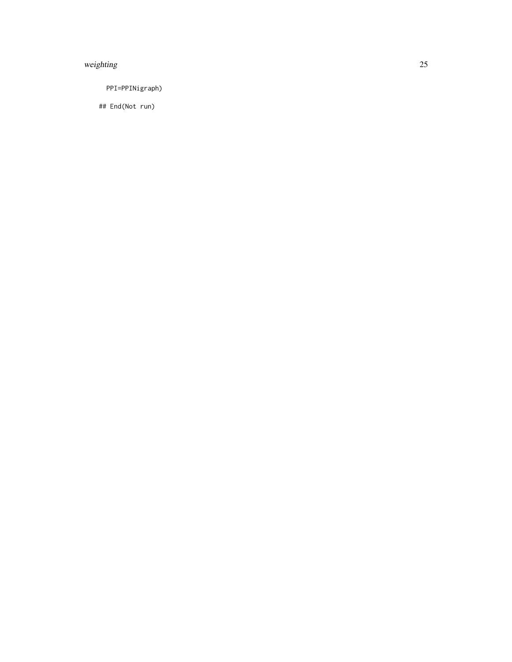# weighting 25

PPI=PPINigraph)

## End(Not run)